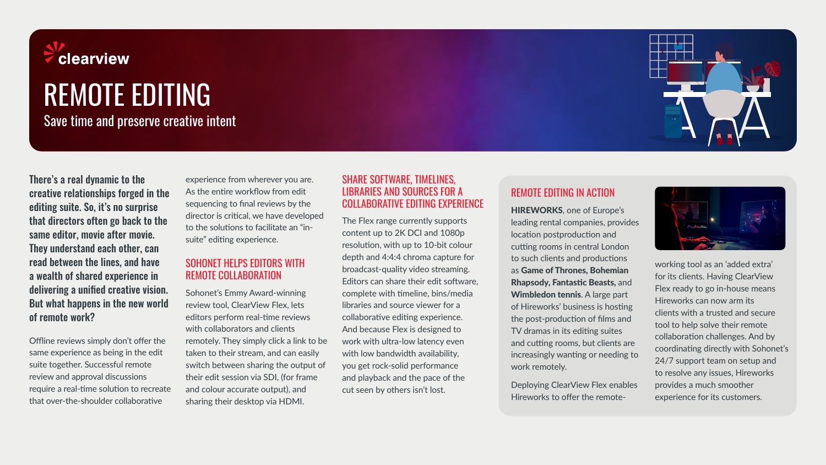

# REMOTE EDITING

Save time and preserve creative intent

There's a real dynamic to the creative relationships forged in the editing suite. So, it's no surprise that directors often go back to the same editor, movie after movie. They understand each other, can read between the lines, and have a wealth of shared experience in delivering a unified creative vision. But what happens in the new world of remote work?

Offline reviews simply don't offer the same experience as being in the edit suite together. Successful remote review and approval discussions require a real-time solution to recreate that over-the-shoulder collaborative

experience from wherever you are. As the entire workflow from edit sequencing to final reviews by the director is critical, we have developed to the solutions to facilitate an "insuite" editing experience.

#### SOHONET HELPS EDITORS WITH REMOTE COLLABORATION

Sohonet's Emmy Award-winning review tool, ClearView Flex, lets editors perform real-time reviews with collaborators and clients remotely. They simply click a link to be taken to their stream, and can easily switch between sharing the output of their edit session via SDI, (for frame and colour accurate output), and sharing their desktop via HDMI.

#### SHARE SOFTWARE, TIMELINES, LIBRARIES AND SOURCES FOR A COLLABORATIVE EDITING EXPERIENCE

The Flex range currently supports content up to 2K DCI and 1080p resolution, with up to 10-bit colour depth and 4:4:4 chroma capture for broadcast-quality video streaming. Editors can share their edit software, complete with timeline, bins/media libraries and source viewer for a collaborative editing experience. And because Flex is designed to work with ultra-low latency even with low bandwidth availability, you get rock-solid performance and playback and the pace of the cut seen by others isn't lost.

#### REMOTE EDITING IN ACTION

HIREWORKS, one of Europe's leading rental companies, provides location postproduction and cutting rooms in central London to such clients and productions as Game of Thrones, Bohemian Rhapsody, Fantastic Beasts, and Wimbledon tennis. A large part of Hireworks' business is hosting the post-production of films and TV dramas in its editing suites and cutting rooms, but clients are increasingly wanting or needing to work remotely.

Deploying ClearView Flex enables Hireworks to offer the remote-



working tool as an 'added extra' for its clients. Having ClearView Flex ready to go in-house means Hireworks can now arm its clients with a trusted and secure tool to help solve their remote collaboration challenges. And by coordinating directly with Sohonet's 24/7 support team on setup and to resolve any issues, Hireworks provides a much smoother experience for its customers.